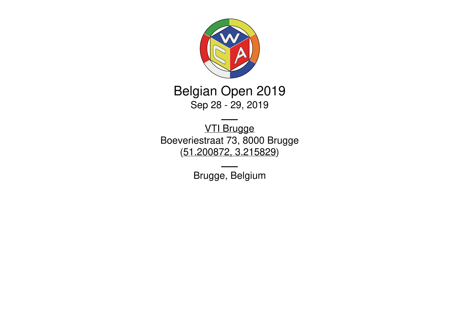

Belgian Open 2019 Sep 28 - 29, 2019

VTI [Brugge](http://www.vtibrugge.be/dag/index.html) Boeveriestraat 73, 8000 Brugge [\(51.200872,](https://www.google.com/maps/place/51.200872,3.215829) 3.215829)

Brugge, Belgium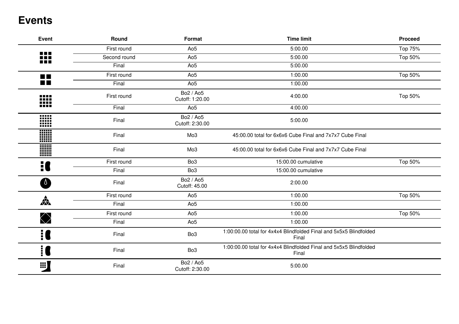### **Events**

| <b>Event</b>                 | Round        | Format                       | <b>Time limit</b>                                                           | <b>Proceed</b> |
|------------------------------|--------------|------------------------------|-----------------------------------------------------------------------------|----------------|
|                              | First round  | Ao <sub>5</sub>              | 5:00.00                                                                     | Top 75%        |
| n e n<br>N E H<br><b>REF</b> | Second round | Ao <sub>5</sub>              | 5:00.00                                                                     | Top 50%        |
|                              | Final        | Ao <sub>5</sub>              | 5:00.00                                                                     |                |
| <b>START</b>                 | First round  | Ao <sub>5</sub>              | 1:00.00                                                                     | Top 50%        |
| <b>The Co</b>                | Final        | Ao <sub>5</sub>              | 1:00.00                                                                     |                |
| 88 E B<br>₩                  | First round  | Bo2 / Ao5<br>Cutoff: 1:20.00 | 4:00.00                                                                     | Top 50%        |
|                              | Final        | Ao <sub>5</sub>              | 4:00.00                                                                     |                |
| $\cdots$<br>W                | Final        | Bo2 / Ao5<br>Cutoff: 2:30.00 | 5:00.00                                                                     |                |
| W                            | Final        | Mo3                          | 45:00.00 total for 6x6x6 Cube Final and 7x7x7 Cube Final                    |                |
| W                            | Final        | Mo <sub>3</sub>              | 45:00.00 total for 6x6x6 Cube Final and 7x7x7 Cube Final                    |                |
| $\ddot{=}$                   | First round  | Bo <sub>3</sub>              | 15:00.00 cumulative                                                         | Top 50%        |
|                              | Final        | Bo <sub>3</sub>              | 15:00.00 cumulative                                                         |                |
| $\theta$                     | Final        | Bo2 / Ao5<br>Cutoff: 45.00   | 2:00.00                                                                     |                |
|                              | First round  | Ao <sub>5</sub>              | 1:00.00                                                                     | Top 50%        |
| $\frac{1}{\sqrt{2}}$         | Final        | Ao <sub>5</sub>              | 1:00.00                                                                     |                |
|                              | First round  | Ao <sub>5</sub>              | 1:00.00                                                                     | Top 50%        |
| $\bigcirc$                   | Final        | Ao <sub>5</sub>              | 1:00.00                                                                     |                |
|                              | Final        | Bo <sub>3</sub>              | 1:00:00.00 total for 4x4x4 Blindfolded Final and 5x5x5 Blindfolded<br>Final |                |
| ׇ֓׀ <b>֖</b>                 | Final        | Bo <sub>3</sub>              | 1:00:00.00 total for 4x4x4 Blindfolded Final and 5x5x5 Blindfolded<br>Final |                |
| E)                           | Final        | Bo2 / Ao5<br>Cutoff: 2:30.00 | 5:00.00                                                                     |                |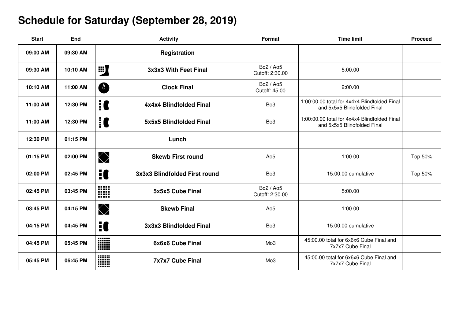# **Schedule for Saturday (September 28, 2019)**

| <b>Start</b> | <b>End</b> | <b>Activity</b>                          | Format                       | <b>Time limit</b>                                                           | <b>Proceed</b> |
|--------------|------------|------------------------------------------|------------------------------|-----------------------------------------------------------------------------|----------------|
| 09:00 AM     | 09:30 AM   | Registration                             |                              |                                                                             |                |
| 09:30 AM     | 10:10 AM   | <b>EX</b><br>3x3x3 With Feet Final       | Bo2 / Ao5<br>Cutoff: 2:30.00 | 5:00.00                                                                     |                |
| 10:10 AM     | 11:00 AM   | <b>A</b><br><b>Clock Final</b>           | Bo2 / Ao5<br>Cutoff: 45.00   | 2:00.00                                                                     |                |
| 11:00 AM     | 12:30 PM   | ! C<br>4x4x4 Blindfolded Final           | Bo <sub>3</sub>              | 1:00:00.00 total for 4x4x4 Blindfolded Final<br>and 5x5x5 Blindfolded Final |                |
| 11:00 AM     | 12:30 PM   | <u>i C</u><br>5x5x5 Blindfolded Final    | Bo <sub>3</sub>              | 1:00:00.00 total for 4x4x4 Blindfolded Final<br>and 5x5x5 Blindfolded Final |                |
| 12:30 PM     | 01:15 PM   | Lunch                                    |                              |                                                                             |                |
| 01:15 PM     | 02:00 PM   | $\bigotimes$<br><b>Skewb First round</b> | Ao <sub>5</sub>              | 1:00.00                                                                     | Top 50%        |
| 02:00 PM     | 02:45 PM   | 10<br>3x3x3 Blindfolded First round      | Bo <sub>3</sub>              | 15:00.00 cumulative                                                         | Top 50%        |
| 02:45 PM     | 03:45 PM   | W<br>5x5x5 Cube Final                    | Bo2 / Ao5<br>Cutoff: 2:30.00 | 5:00.00                                                                     |                |
| 03:45 PM     | 04:15 PM   | $\bigcirc$<br><b>Skewb Final</b>         | Ao <sub>5</sub>              | 1:00.00                                                                     |                |
| 04:15 PM     | 04:45 PM   | H<br>3x3x3 Blindfolded Final             | Bo <sub>3</sub>              | 15:00.00 cumulative                                                         |                |
| 04:45 PM     | 05:45 PM   | 6x6x6 Cube Final                         | Mo <sub>3</sub>              | 45:00.00 total for 6x6x6 Cube Final and<br>7x7x7 Cube Final                 |                |
| 05:45 PM     | 06:45 PM   | W<br><b>7x7x7 Cube Final</b>             | Mo <sub>3</sub>              | 45:00.00 total for 6x6x6 Cube Final and<br>7x7x7 Cube Final                 |                |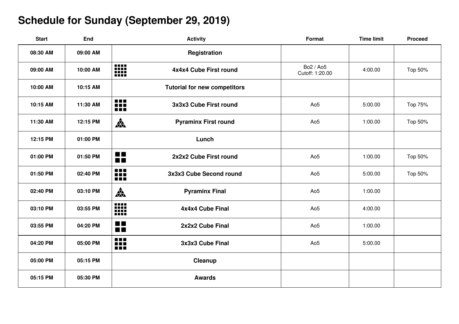# **Schedule for Sunday (September 29, 2019)**

| <b>Start</b> | <b>End</b> | <b>Activity</b>                                              | <b>Format</b>                | <b>Time limit</b> | <b>Proceed</b> |
|--------------|------------|--------------------------------------------------------------|------------------------------|-------------------|----------------|
| 08:30 AM     | 09:00 AM   | Registration                                                 |                              |                   |                |
| 09:00 AM     | 10:00 AM   | <b>BB</b><br>4x4x4 Cube First round                          | Bo2 / Ao5<br>Cutoff: 1:20.00 | 4:00.00           | Top 50%        |
| 10:00 AM     | 10:15 AM   | <b>Tutorial for new competitors</b>                          |                              |                   |                |
| 10:15 AM     | 11:30 AM   | m<br>3x3x3 Cube First round                                  | Ao <sub>5</sub>              | 5:00.00           | Top 75%        |
| 11:30 AM     | 12:15 PM   | A.<br><b>Pyraminx First round</b>                            | Ao <sub>5</sub>              | 1:00.00           | Top 50%        |
| 12:15 PM     | 01:00 PM   | Lunch                                                        |                              |                   |                |
| 01:00 PM     | 01:50 PM   | $\blacksquare$<br>2x2x2 Cube First round<br>$\blacksquare$   | Ao <sub>5</sub>              | 1:00.00           | Top 50%        |
| 01:50 PM     | 02:40 PM   | ₩<br>3x3x3 Cube Second round                                 | Ao <sub>5</sub>              | 5:00.00           | Top 50%        |
| 02:40 PM     | 03:10 PM   | 森<br><b>Pyraminx Final</b>                                   | Ao <sub>5</sub>              | 1:00.00           |                |
| 03:10 PM     | 03:55 PM   | 88<br>4x4x4 Cube Final                                       | Ao <sub>5</sub>              | 4:00.00           |                |
| 03:55 PM     | 04:20 PM   | <b>The Co</b><br>2x2x2 Cube Final<br>$\blacksquare$          | Ao <sub>5</sub>              | 1:00.00           |                |
| 04:20 PM     | 05:00 PM   | $\blacksquare$<br>If $\blacksquare$<br>3x3x3 Cube Final<br>m | Ao <sub>5</sub>              | 5:00.00           |                |
| 05:00 PM     | 05:15 PM   | Cleanup                                                      |                              |                   |                |
| 05:15 PM     | 05:30 PM   | <b>Awards</b>                                                |                              |                   |                |